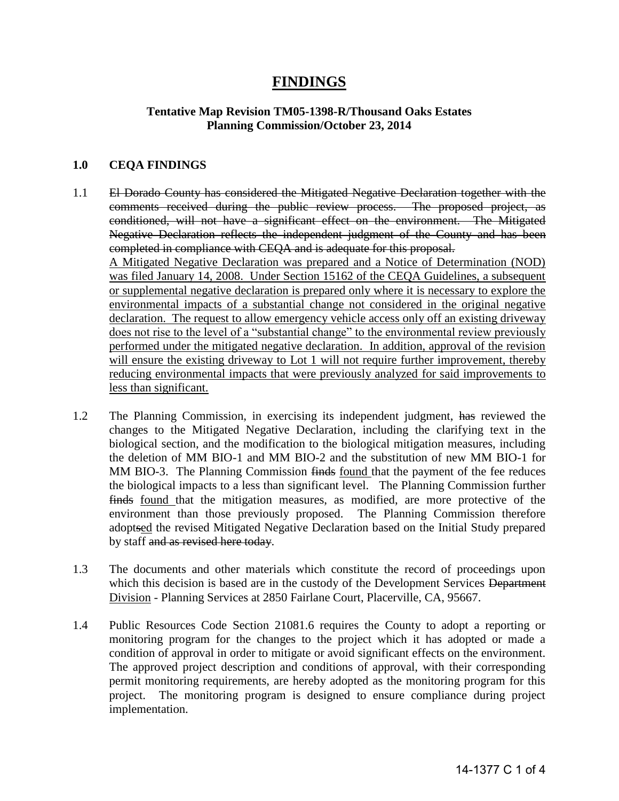# **FINDINGS**

## **Tentative Map Revision TM05-1398-R/Thousand Oaks Estates Planning Commission/October 23, 2014**

### **1.0 CEQA FINDINGS**

- 1.1 El Dorado County has considered the Mitigated Negative Declaration together with the comments received during the public review process. The proposed project, as conditioned, will not have a significant effect on the environment. The Mitigated Negative Declaration reflects the independent judgment of the County and has been completed in compliance with CEQA and is adequate for this proposal. A Mitigated Negative Declaration was prepared and a Notice of Determination (NOD) was filed January 14, 2008. Under Section 15162 of the CEQA Guidelines, a subsequent or supplemental negative declaration is prepared only where it is necessary to explore the environmental impacts of a substantial change not considered in the original negative declaration. The request to allow emergency vehicle access only off an existing driveway does not rise to the level of a "substantial change" to the environmental review previously performed under the mitigated negative declaration. In addition, approval of the revision will ensure the existing driveway to Lot 1 will not require further improvement, thereby reducing environmental impacts that were previously analyzed for said improvements to less than significant.
- 1.2 The Planning Commission, in exercising its independent judgment, has reviewed the changes to the Mitigated Negative Declaration, including the clarifying text in the biological section, and the modification to the biological mitigation measures, including the deletion of MM BIO-1 and MM BIO-2 and the substitution of new MM BIO-1 for MM BIO-3. The Planning Commission finds found that the payment of the fee reduces the biological impacts to a less than significant level. The Planning Commission further finds found that the mitigation measures, as modified, are more protective of the environment than those previously proposed. The Planning Commission therefore adoptsed the revised Mitigated Negative Declaration based on the Initial Study prepared by staff and as revised here today.
- 1.3 The documents and other materials which constitute the record of proceedings upon which this decision is based are in the custody of the Development Services Department Division - Planning Services at 2850 Fairlane Court, Placerville, CA, 95667.
- 1.4 Public Resources Code Section 21081.6 requires the County to adopt a reporting or monitoring program for the changes to the project which it has adopted or made a condition of approval in order to mitigate or avoid significant effects on the environment. The approved project description and conditions of approval, with their corresponding permit monitoring requirements, are hereby adopted as the monitoring program for this project. The monitoring program is designed to ensure compliance during project implementation.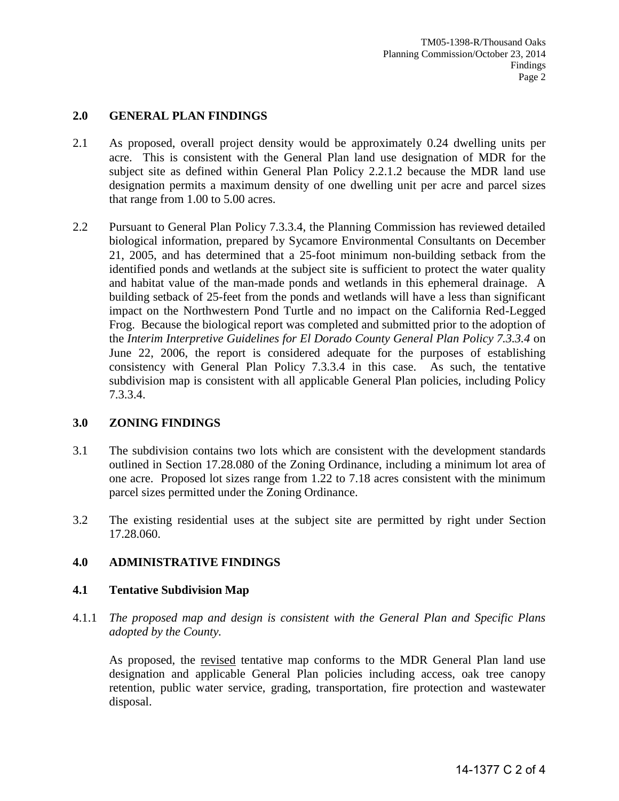### **2.0 GENERAL PLAN FINDINGS**

- 2.1 As proposed, overall project density would be approximately 0.24 dwelling units per acre. This is consistent with the General Plan land use designation of MDR for the subject site as defined within General Plan Policy 2.2.1.2 because the MDR land use designation permits a maximum density of one dwelling unit per acre and parcel sizes that range from 1.00 to 5.00 acres.
- 2.2 Pursuant to General Plan Policy 7.3.3.4, the Planning Commission has reviewed detailed biological information, prepared by Sycamore Environmental Consultants on December 21, 2005, and has determined that a 25-foot minimum non-building setback from the identified ponds and wetlands at the subject site is sufficient to protect the water quality and habitat value of the man-made ponds and wetlands in this ephemeral drainage. A building setback of 25-feet from the ponds and wetlands will have a less than significant impact on the Northwestern Pond Turtle and no impact on the California Red-Legged Frog. Because the biological report was completed and submitted prior to the adoption of the *Interim Interpretive Guidelines for El Dorado County General Plan Policy 7.3.3.4* on June 22, 2006, the report is considered adequate for the purposes of establishing consistency with General Plan Policy 7.3.3.4 in this case. As such, the tentative subdivision map is consistent with all applicable General Plan policies, including Policy 7.3.3.4.

## **3.0 ZONING FINDINGS**

- 3.1 The subdivision contains two lots which are consistent with the development standards outlined in Section 17.28.080 of the Zoning Ordinance, including a minimum lot area of one acre. Proposed lot sizes range from 1.22 to 7.18 acres consistent with the minimum parcel sizes permitted under the Zoning Ordinance.
- 3.2 The existing residential uses at the subject site are permitted by right under Section 17.28.060.

## **4.0 ADMINISTRATIVE FINDINGS**

#### **4.1 Tentative Subdivision Map**

4.1.1 *The proposed map and design is consistent with the General Plan and Specific Plans adopted by the County.*

As proposed, the revised tentative map conforms to the MDR General Plan land use designation and applicable General Plan policies including access, oak tree canopy retention, public water service, grading, transportation, fire protection and wastewater disposal.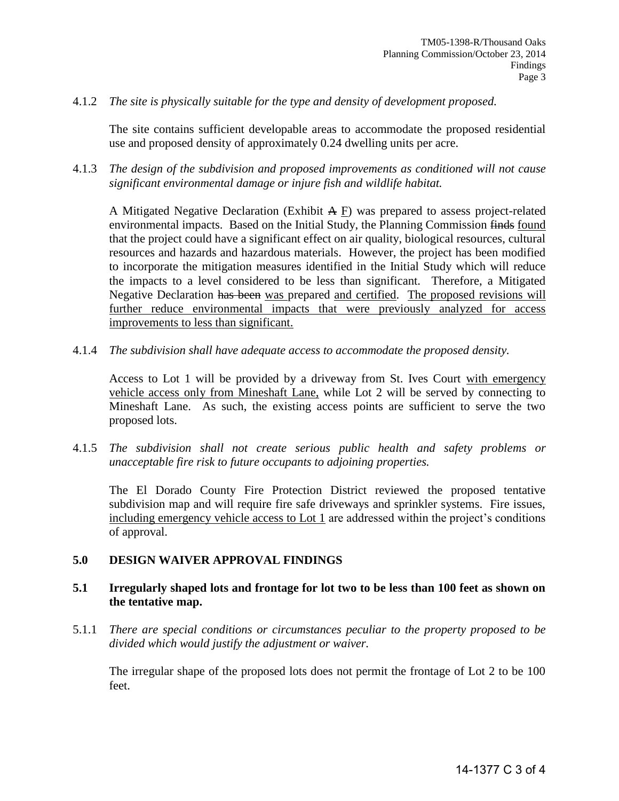4.1.2 *The site is physically suitable for the type and density of development proposed.*

The site contains sufficient developable areas to accommodate the proposed residential use and proposed density of approximately 0.24 dwelling units per acre.

4.1.3 *The design of the subdivision and proposed improvements as conditioned will not cause significant environmental damage or injure fish and wildlife habitat.*

 A Mitigated Negative Declaration (Exhibit A F) was prepared to assess project-related environmental impacts. Based on the Initial Study, the Planning Commission finds found that the project could have a significant effect on air quality, biological resources, cultural resources and hazards and hazardous materials. However, the project has been modified to incorporate the mitigation measures identified in the Initial Study which will reduce the impacts to a level considered to be less than significant. Therefore, a Mitigated Negative Declaration has been was prepared and certified. The proposed revisions will further reduce environmental impacts that were previously analyzed for access improvements to less than significant.

4.1.4 *The subdivision shall have adequate access to accommodate the proposed density.* 

Access to Lot 1 will be provided by a driveway from St. Ives Court with emergency vehicle access only from Mineshaft Lane, while Lot 2 will be served by connecting to Mineshaft Lane. As such, the existing access points are sufficient to serve the two proposed lots.

4.1.5 *The subdivision shall not create serious public health and safety problems or unacceptable fire risk to future occupants to adjoining properties.* 

The El Dorado County Fire Protection District reviewed the proposed tentative subdivision map and will require fire safe driveways and sprinkler systems. Fire issues, including emergency vehicle access to Lot 1 are addressed within the project's conditions of approval.

#### **5.0 DESIGN WAIVER APPROVAL FINDINGS**

## **5.1 Irregularly shaped lots and frontage for lot two to be less than 100 feet as shown on the tentative map.**

5.1.1 *There are special conditions or circumstances peculiar to the property proposed to be divided which would justify the adjustment or waiver.*

 The irregular shape of the proposed lots does not permit the frontage of Lot 2 to be 100 feet.